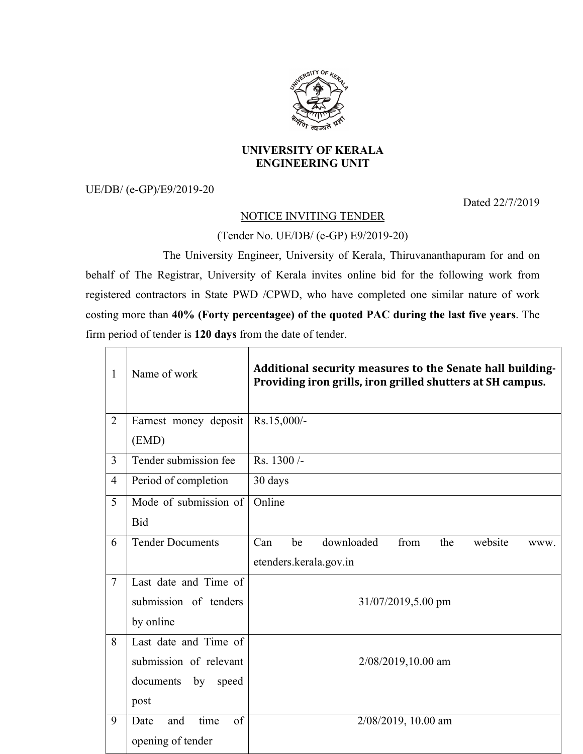

## **UNIVERSITY OF KERALA ENGINEERING UNIT**

UE/DB/ (e-GP)/E9/2019-20

 $\Gamma$ 

Dated 22/7/2019

## NOTICE INVITING TENDER

## (Tender No. UE/DB/ (e-GP) E9/2019-20)

The University Engineer, University of Kerala, Thiruvananthapuram for and on behalf of The Registrar, University of Kerala invites online bid for the following work from registered contractors in State PWD /CPWD, who have completed one similar nature of work costing more than **40% (Forty percentagee) of the quoted PAC during the last five years**. The firm period of tender is **120 days** from the date of tender.

| $\mathbf{1}$   | Name of work              | Additional security measures to the Senate hall building-<br>Providing iron grills, iron grilled shutters at SH campus. |  |
|----------------|---------------------------|-------------------------------------------------------------------------------------------------------------------------|--|
| $\overline{2}$ | Earnest money deposit     | Rs.15,000/-                                                                                                             |  |
|                | (EMD)                     |                                                                                                                         |  |
| 3              | Tender submission fee     | Rs. 1300/-                                                                                                              |  |
| $\overline{4}$ | Period of completion      | 30 days                                                                                                                 |  |
| 5              | Mode of submission of     | Online                                                                                                                  |  |
|                | <b>Bid</b>                |                                                                                                                         |  |
| 6              | <b>Tender Documents</b>   | Can<br>be<br>downloaded<br>from<br>the<br>website<br>WWW.                                                               |  |
|                |                           | etenders.kerala.gov.in                                                                                                  |  |
| $\overline{7}$ | Last date and Time of     |                                                                                                                         |  |
|                | submission of tenders     | 31/07/2019,5.00 pm                                                                                                      |  |
|                | by online                 |                                                                                                                         |  |
| 8              | Last date and Time of     | 2/08/2019,10.00 am                                                                                                      |  |
|                | submission of relevant    |                                                                                                                         |  |
|                | documents<br>by<br>speed  |                                                                                                                         |  |
|                | post                      |                                                                                                                         |  |
| 9              | time<br>of<br>Date<br>and | 2/08/2019, 10.00 am                                                                                                     |  |
|                | opening of tender         |                                                                                                                         |  |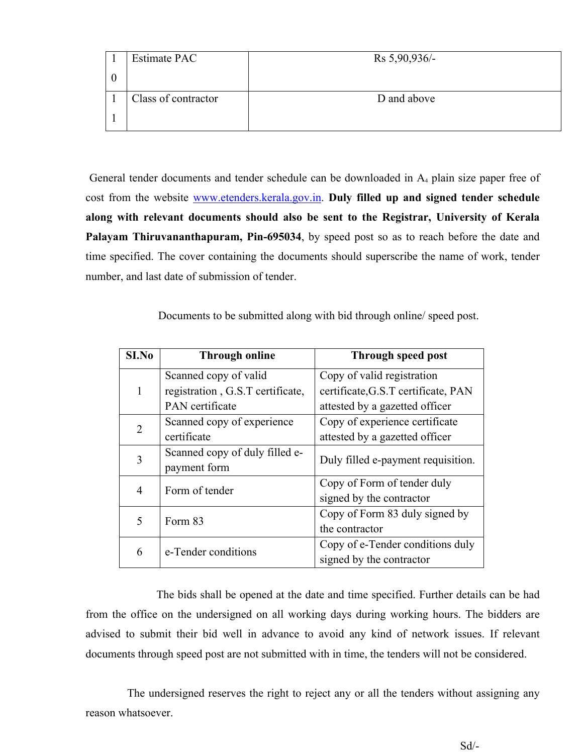| <b>Estimate PAC</b> | $Rs 5,90,936/-$ |
|---------------------|-----------------|
|                     |                 |
| Class of contractor | D and above     |
|                     |                 |

General tender documents and tender schedule can be downloaded in  $A<sub>4</sub>$  plain size paper free of cost from the website www.etenders.kerala.gov.in. **Duly filled up and signed tender schedule along with relevant documents should also be sent to the Registrar, University of Kerala Palayam Thiruvananthapuram, Pin-695034**, by speed post so as to reach before the date and time specified. The cover containing the documents should superscribe the name of work, tender number, and last date of submission of tender.

Documents to be submitted along with bid through online/ speed post.

| SI.No | <b>Through online</b>            | Through speed post                  |
|-------|----------------------------------|-------------------------------------|
|       | Scanned copy of valid            | Copy of valid registration          |
| 1     | registration, G.S.T certificate, | certificate, G.S.T certificate, PAN |
|       | PAN certificate                  | attested by a gazetted officer      |
| 2     | Scanned copy of experience       | Copy of experience certificate      |
|       | certificate                      | attested by a gazetted officer      |
| 3     | Scanned copy of duly filled e-   | Duly filled e-payment requisition.  |
|       | payment form                     |                                     |
| 4     | Form of tender                   | Copy of Form of tender duly         |
|       |                                  | signed by the contractor            |
| 5     | Form 83                          | Copy of Form 83 duly signed by      |
|       |                                  | the contractor                      |
|       | e-Tender conditions              | Copy of e-Tender conditions duly    |
| 6     |                                  | signed by the contractor            |

The bids shall be opened at the date and time specified. Further details can be had from the office on the undersigned on all working days during working hours. The bidders are advised to submit their bid well in advance to avoid any kind of network issues. If relevant documents through speed post are not submitted with in time, the tenders will not be considered.

The undersigned reserves the right to reject any or all the tenders without assigning any reason whatsoever.